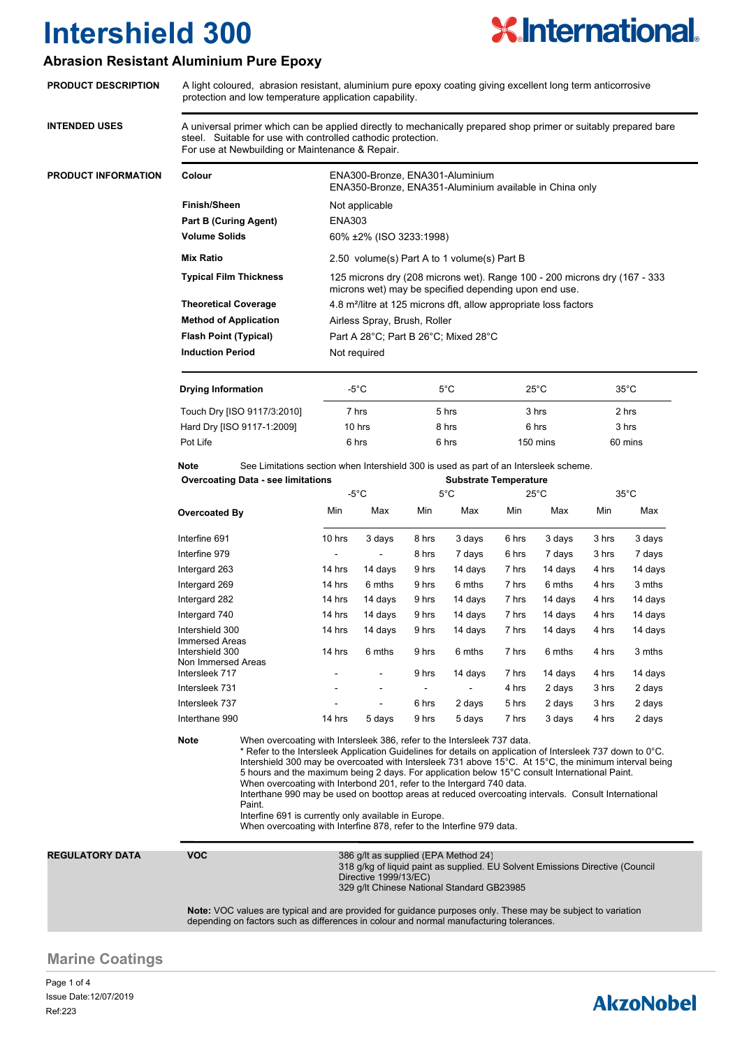

### **Abrasion Resistant Aluminium Pure Epoxy**

|                            |                                                                                                                                                                                                                                                                                                                                                                                                                                                                                                                                                                                                                                                                                                                                    | protection and low temperature application capability. |                                                                                                                                                                                        |         |               |                                      |                |         |                |         |  |                              |  |  |                              |  |                                                                              |  |  |  |  |
|----------------------------|------------------------------------------------------------------------------------------------------------------------------------------------------------------------------------------------------------------------------------------------------------------------------------------------------------------------------------------------------------------------------------------------------------------------------------------------------------------------------------------------------------------------------------------------------------------------------------------------------------------------------------------------------------------------------------------------------------------------------------|--------------------------------------------------------|----------------------------------------------------------------------------------------------------------------------------------------------------------------------------------------|---------|---------------|--------------------------------------|----------------|---------|----------------|---------|--|------------------------------|--|--|------------------------------|--|------------------------------------------------------------------------------|--|--|--|--|
| <b>INTENDED USES</b>       | A universal primer which can be applied directly to mechanically prepared shop primer or suitably prepared bare<br>steel. Suitable for use with controlled cathodic protection.<br>For use at Newbuilding or Maintenance & Repair.                                                                                                                                                                                                                                                                                                                                                                                                                                                                                                 |                                                        |                                                                                                                                                                                        |         |               |                                      |                |         |                |         |  |                              |  |  |                              |  |                                                                              |  |  |  |  |
| <b>PRODUCT INFORMATION</b> | Colour                                                                                                                                                                                                                                                                                                                                                                                                                                                                                                                                                                                                                                                                                                                             |                                                        | ENA300-Bronze, ENA301-Aluminium<br>ENA350-Bronze, ENA351-Aluminium available in China only                                                                                             |         |               |                                      |                |         |                |         |  |                              |  |  |                              |  |                                                                              |  |  |  |  |
|                            | <b>Finish/Sheen</b><br><b>Part B (Curing Agent)</b><br><b>Volume Solids</b><br><b>Mix Ratio</b><br><b>Typical Film Thickness</b>                                                                                                                                                                                                                                                                                                                                                                                                                                                                                                                                                                                                   |                                                        | Not applicable<br><b>ENA303</b><br>60% ±2% (ISO 3233:1998)<br>2.50 volume(s) Part A to 1 volume(s) Part B<br>125 microns dry (208 microns wet). Range 100 - 200 microns dry (167 - 333 |         |               |                                      |                |         |                |         |  |                              |  |  |                              |  |                                                                              |  |  |  |  |
|                            |                                                                                                                                                                                                                                                                                                                                                                                                                                                                                                                                                                                                                                                                                                                                    |                                                        |                                                                                                                                                                                        |         |               |                                      |                |         |                |         |  |                              |  |  |                              |  |                                                                              |  |  |  |  |
|                            |                                                                                                                                                                                                                                                                                                                                                                                                                                                                                                                                                                                                                                                                                                                                    |                                                        |                                                                                                                                                                                        |         |               |                                      |                |         |                |         |  |                              |  |  |                              |  | microns wet) may be specified depending upon end use.                        |  |  |  |  |
|                            |                                                                                                                                                                                                                                                                                                                                                                                                                                                                                                                                                                                                                                                                                                                                    |                                                        |                                                                                                                                                                                        |         |               |                                      |                |         |                |         |  | <b>Theoretical Coverage</b>  |  |  |                              |  | 4.8 m <sup>2</sup> /litre at 125 microns dft, allow appropriate loss factors |  |  |  |  |
|                            |                                                                                                                                                                                                                                                                                                                                                                                                                                                                                                                                                                                                                                                                                                                                    |                                                        |                                                                                                                                                                                        |         |               |                                      |                |         |                |         |  | <b>Method of Application</b> |  |  | Airless Spray, Brush, Roller |  |                                                                              |  |  |  |  |
|                            | <b>Flash Point (Typical)</b>                                                                                                                                                                                                                                                                                                                                                                                                                                                                                                                                                                                                                                                                                                       |                                                        |                                                                                                                                                                                        |         |               | Part A 28°C; Part B 26°C; Mixed 28°C |                |         |                |         |  |                              |  |  |                              |  |                                                                              |  |  |  |  |
|                            | <b>Induction Period</b><br>Not required                                                                                                                                                                                                                                                                                                                                                                                                                                                                                                                                                                                                                                                                                            |                                                        |                                                                                                                                                                                        |         |               |                                      |                |         |                |         |  |                              |  |  |                              |  |                                                                              |  |  |  |  |
|                            | <b>Drying Information</b>                                                                                                                                                                                                                                                                                                                                                                                                                                                                                                                                                                                                                                                                                                          |                                                        | -5°C                                                                                                                                                                                   |         | $5^{\circ}$ C |                                      | $25^{\circ}$ C |         | $35^{\circ}$ C |         |  |                              |  |  |                              |  |                                                                              |  |  |  |  |
|                            | Touch Dry [ISO 9117/3:2010]                                                                                                                                                                                                                                                                                                                                                                                                                                                                                                                                                                                                                                                                                                        |                                                        | 7 hrs                                                                                                                                                                                  |         | 5 hrs         |                                      | 3 hrs          |         | 2 hrs          |         |  |                              |  |  |                              |  |                                                                              |  |  |  |  |
|                            | Hard Dry [ISO 9117-1:2009]                                                                                                                                                                                                                                                                                                                                                                                                                                                                                                                                                                                                                                                                                                         |                                                        | 10 hrs                                                                                                                                                                                 |         | 8 hrs         |                                      | 6 hrs          |         | 3 hrs          |         |  |                              |  |  |                              |  |                                                                              |  |  |  |  |
|                            | Pot Life                                                                                                                                                                                                                                                                                                                                                                                                                                                                                                                                                                                                                                                                                                                           |                                                        | 6 hrs                                                                                                                                                                                  |         | 6 hrs         |                                      | 150 mins       |         | 60 mins        |         |  |                              |  |  |                              |  |                                                                              |  |  |  |  |
|                            | Note<br>See Limitations section when Intershield 300 is used as part of an Intersleek scheme.<br><b>Overcoating Data - see limitations</b><br><b>Substrate Temperature</b>                                                                                                                                                                                                                                                                                                                                                                                                                                                                                                                                                         |                                                        |                                                                                                                                                                                        |         |               |                                      |                |         |                |         |  |                              |  |  |                              |  |                                                                              |  |  |  |  |
|                            |                                                                                                                                                                                                                                                                                                                                                                                                                                                                                                                                                                                                                                                                                                                                    |                                                        | $-5^{\circ}$ C                                                                                                                                                                         |         | $5^{\circ}$ C |                                      | $25^{\circ}$ C |         | $35^{\circ}$ C |         |  |                              |  |  |                              |  |                                                                              |  |  |  |  |
|                            | <b>Overcoated By</b>                                                                                                                                                                                                                                                                                                                                                                                                                                                                                                                                                                                                                                                                                                               |                                                        | Min                                                                                                                                                                                    | Max     | Min           | Max                                  | Min            | Max     | Min            | Max     |  |                              |  |  |                              |  |                                                                              |  |  |  |  |
|                            | Interfine 691                                                                                                                                                                                                                                                                                                                                                                                                                                                                                                                                                                                                                                                                                                                      |                                                        | 10 hrs                                                                                                                                                                                 | 3 days  | 8 hrs         | 3 days                               | 6 hrs          | 3 days  | 3 hrs          | 3 days  |  |                              |  |  |                              |  |                                                                              |  |  |  |  |
|                            | Interfine 979<br>Intergard 263<br>Intergard 269<br>Intergard 282<br>Intergard 740<br>Intershield 300<br>Immersed Areas<br>Intershield 300<br>Non Immersed Areas                                                                                                                                                                                                                                                                                                                                                                                                                                                                                                                                                                    |                                                        |                                                                                                                                                                                        |         | 8 hrs         | 7 days                               | 6 hrs          | 7 days  | 3 hrs          | 7 days  |  |                              |  |  |                              |  |                                                                              |  |  |  |  |
|                            |                                                                                                                                                                                                                                                                                                                                                                                                                                                                                                                                                                                                                                                                                                                                    |                                                        | 14 hrs                                                                                                                                                                                 | 14 days | 9 hrs         | 14 days                              | 7 hrs          | 14 days | 4 hrs          | 14 days |  |                              |  |  |                              |  |                                                                              |  |  |  |  |
|                            |                                                                                                                                                                                                                                                                                                                                                                                                                                                                                                                                                                                                                                                                                                                                    |                                                        | 14 hrs                                                                                                                                                                                 | 6 mths  | 9 hrs         | 6 mths                               | 7 hrs          | 6 mths  | 4 hrs          | 3 mths  |  |                              |  |  |                              |  |                                                                              |  |  |  |  |
|                            |                                                                                                                                                                                                                                                                                                                                                                                                                                                                                                                                                                                                                                                                                                                                    |                                                        | 14 hrs                                                                                                                                                                                 | 14 days | 9 hrs         | 14 days                              | 7 hrs          | 14 days | 4 hrs          | 14 days |  |                              |  |  |                              |  |                                                                              |  |  |  |  |
|                            |                                                                                                                                                                                                                                                                                                                                                                                                                                                                                                                                                                                                                                                                                                                                    |                                                        | 14 hrs                                                                                                                                                                                 | 14 days | 9 hrs         | 14 days                              | 7 hrs          | 14 days | 4 hrs          | 14 days |  |                              |  |  |                              |  |                                                                              |  |  |  |  |
|                            |                                                                                                                                                                                                                                                                                                                                                                                                                                                                                                                                                                                                                                                                                                                                    |                                                        | 14 hrs                                                                                                                                                                                 | 14 days | 9 hrs         | 14 days                              | 7 hrs          | 14 days | 4 hrs          | 14 days |  |                              |  |  |                              |  |                                                                              |  |  |  |  |
|                            |                                                                                                                                                                                                                                                                                                                                                                                                                                                                                                                                                                                                                                                                                                                                    |                                                        | 14 hrs                                                                                                                                                                                 | 6 mths  | 9 hrs         | 6 mths                               | 7 hrs          | 6 mths  | 4 hrs          | 3 mths  |  |                              |  |  |                              |  |                                                                              |  |  |  |  |
|                            | Intersleek 717                                                                                                                                                                                                                                                                                                                                                                                                                                                                                                                                                                                                                                                                                                                     |                                                        |                                                                                                                                                                                        |         | 9 hrs         | 14 days                              | 7 hrs          | 14 days | 4 hrs          | 14 days |  |                              |  |  |                              |  |                                                                              |  |  |  |  |
|                            | Intersleek 731                                                                                                                                                                                                                                                                                                                                                                                                                                                                                                                                                                                                                                                                                                                     |                                                        |                                                                                                                                                                                        |         |               |                                      | 4 hrs          | 2 days  | 3 hrs          | 2 days  |  |                              |  |  |                              |  |                                                                              |  |  |  |  |
|                            | Intersleek 737                                                                                                                                                                                                                                                                                                                                                                                                                                                                                                                                                                                                                                                                                                                     |                                                        |                                                                                                                                                                                        |         | 6 hrs         | 2 days                               | 5 hrs          | 2 days  | 3 hrs          | 2 days  |  |                              |  |  |                              |  |                                                                              |  |  |  |  |
|                            | Interthane 990                                                                                                                                                                                                                                                                                                                                                                                                                                                                                                                                                                                                                                                                                                                     |                                                        | 14 hrs                                                                                                                                                                                 | 5 days  | 9 hrs         | 5 days                               | 7 hrs          | 3 days  | 4 hrs          | 2 days  |  |                              |  |  |                              |  |                                                                              |  |  |  |  |
|                            | Note<br>When overcoating with Intersleek 386, refer to the Intersleek 737 data.<br>* Refer to the Intersleek Application Guidelines for details on application of Intersleek 737 down to 0°C.<br>Intershield 300 may be overcoated with Intersleek 731 above 15°C. At 15°C, the minimum interval being<br>5 hours and the maximum being 2 days. For application below 15°C consult International Paint.<br>When overcoating with Interbond 201, refer to the Intergard 740 data.<br>Interthane 990 may be used on boottop areas at reduced overcoating intervals. Consult International<br>Paint.<br>Interfine 691 is currently only available in Europe.<br>When overcoating with Interfine 878, refer to the Interfine 979 data. |                                                        |                                                                                                                                                                                        |         |               |                                      |                |         |                |         |  |                              |  |  |                              |  |                                                                              |  |  |  |  |
| <b>REGULATORY DATA</b>     | <b>VOC</b>                                                                                                                                                                                                                                                                                                                                                                                                                                                                                                                                                                                                                                                                                                                         |                                                        | 386 g/lt as supplied (EPA Method 24)<br>318 g/kg of liquid paint as supplied. EU Solvent Emissions Directive (Council<br>329 g/lt Chinese National Standard GB23985                    |         |               |                                      |                |         |                |         |  |                              |  |  |                              |  |                                                                              |  |  |  |  |
|                            | <b>Note:</b> VOC values are typical and are provided for guidance purposes only. These may be subject to variation<br>depending on factors such as differences in colour and normal manufacturing tolerances.                                                                                                                                                                                                                                                                                                                                                                                                                                                                                                                      |                                                        |                                                                                                                                                                                        |         |               |                                      |                |         |                |         |  |                              |  |  |                              |  |                                                                              |  |  |  |  |
|                            |                                                                                                                                                                                                                                                                                                                                                                                                                                                                                                                                                                                                                                                                                                                                    |                                                        |                                                                                                                                                                                        |         |               |                                      |                |         |                |         |  |                              |  |  |                              |  |                                                                              |  |  |  |  |

Page 1 of 4 Ref:223 Issue Date:12/07/2019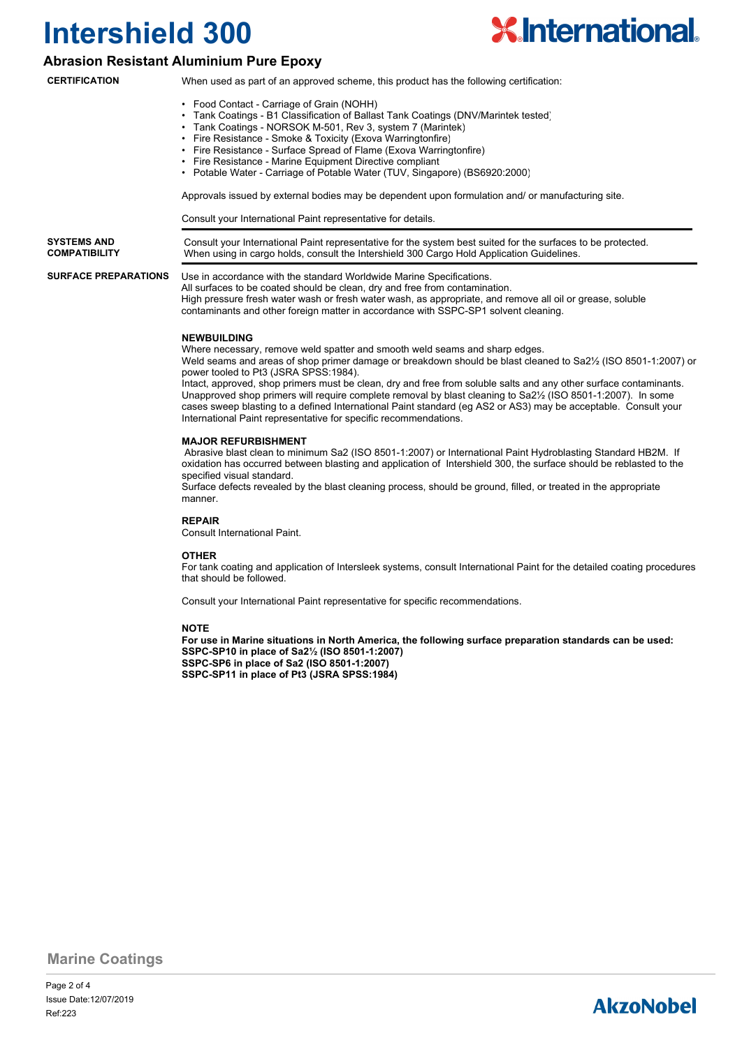

### **Abrasion Resistant Aluminium Pure Epoxy**

**CERTIFICATION**

- When used as part of an approved scheme, this product has the following certification:
	- Food Contact Carriage of Grain (NOHH)
	- Tank Coatings B1 Classification of Ballast Tank Coatings (DNV/Marintek tested)
	- Tank Coatings NORSOK M-501, Rev 3, system 7 (Marintek)
	- Fire Resistance Smoke & Toxicity (Exova Warringtonfire)
	- Fire Resistance Surface Spread of Flame (Exova Warringtonfire)
	- Fire Resistance Marine Equipment Directive compliant
	- Potable Water Carriage of Potable Water (TUV, Singapore) (BS6920:2000)

Approvals issued by external bodies may be dependent upon formulation and/ or manufacturing site.

Consult your International Paint representative for details.

| <b>SYSTEMS AND</b><br><b>COMPATIBILITY</b> | Consult your International Paint representative for the system best suited for the surfaces to be protected.<br>When using in cargo holds, consult the Intershield 300 Cargo Hold Application Guidelines.                                                                                                                                                                   |  |  |  |  |  |  |
|--------------------------------------------|-----------------------------------------------------------------------------------------------------------------------------------------------------------------------------------------------------------------------------------------------------------------------------------------------------------------------------------------------------------------------------|--|--|--|--|--|--|
| <b>SURFACE PREPARATIONS</b>                | Use in accordance with the standard Worldwide Marine Specifications.<br>All surfaces to be coated should be clean, dry and free from contamination.<br>High pressure fresh water wash or fresh water wash, as appropriate, and remove all oil or grease, soluble<br><b>Contracts rate and other fraction of the to according to collect CODO ODA</b> activities of a street |  |  |  |  |  |  |

contaminants and other foreign matter in accordance with SSPC-SP1 solvent cleaning.

### **NEWBUILDING**

Where necessary, remove weld spatter and smooth weld seams and sharp edges.

Weld seams and areas of shop primer damage or breakdown should be blast cleaned to Sa2½ (ISO 8501-1:2007) or power tooled to Pt3 (JSRA SPSS:1984).

Intact, approved, shop primers must be clean, dry and free from soluble salts and any other surface contaminants. Unapproved shop primers will require complete removal by blast cleaning to Sa2½ (ISO 8501-1:2007). In some cases sweep blasting to a defined International Paint standard (eg AS2 or AS3) may be acceptable. Consult your International Paint representative for specific recommendations.

### **MAJOR REFURBISHMENT**

 Abrasive blast clean to minimum Sa2 (ISO 8501-1:2007) or International Paint Hydroblasting Standard HB2M. If oxidation has occurred between blasting and application of Intershield 300, the surface should be reblasted to the specified visual standard.

Surface defects revealed by the blast cleaning process, should be ground, filled, or treated in the appropriate manner.

#### **REPAIR**

Consult International Paint.

#### **OTHER**

For tank coating and application of Intersleek systems, consult International Paint for the detailed coating procedures that should be followed.

Consult your International Paint representative for specific recommendations.

### **NOTE**

**For use in Marine situations in North America, the following surface preparation standards can be used: SSPC-SP10 in place of Sa2½ (ISO 8501-1:2007) SSPC-SP6 in place of Sa2 (ISO 8501-1:2007) SSPC-SP11 in place of Pt3 (JSRA SPSS:1984)**

**Marine Coatings**

Page 2 of 4 Ref:223 Issue Date:12/07/2019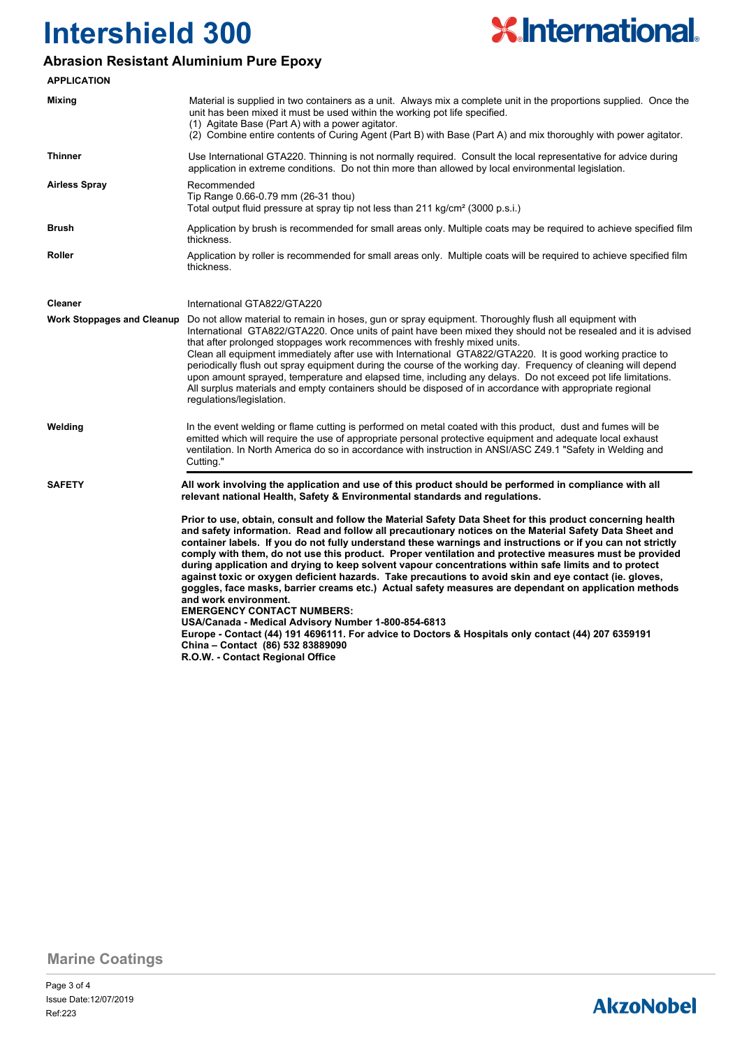

### **Abrasion Resistant Aluminium Pure Epoxy**

| <b>APPLICATION</b>                |                                                                                                                                                                                                                                                                                                                                                                                                                                                                                                                                                                                                                                                                                                                                                                                                                                                                                                                                                                                                                                                                                |  |  |  |  |  |
|-----------------------------------|--------------------------------------------------------------------------------------------------------------------------------------------------------------------------------------------------------------------------------------------------------------------------------------------------------------------------------------------------------------------------------------------------------------------------------------------------------------------------------------------------------------------------------------------------------------------------------------------------------------------------------------------------------------------------------------------------------------------------------------------------------------------------------------------------------------------------------------------------------------------------------------------------------------------------------------------------------------------------------------------------------------------------------------------------------------------------------|--|--|--|--|--|
| <b>Mixing</b>                     | Material is supplied in two containers as a unit. Always mix a complete unit in the proportions supplied. Once the<br>unit has been mixed it must be used within the working pot life specified.<br>(1) Agitate Base (Part A) with a power agitator.<br>(2) Combine entire contents of Curing Agent (Part B) with Base (Part A) and mix thoroughly with power agitator.                                                                                                                                                                                                                                                                                                                                                                                                                                                                                                                                                                                                                                                                                                        |  |  |  |  |  |
| <b>Thinner</b>                    | Use International GTA220. Thinning is not normally required. Consult the local representative for advice during<br>application in extreme conditions. Do not thin more than allowed by local environmental legislation.                                                                                                                                                                                                                                                                                                                                                                                                                                                                                                                                                                                                                                                                                                                                                                                                                                                        |  |  |  |  |  |
| <b>Airless Spray</b>              | Recommended<br>Tip Range 0.66-0.79 mm (26-31 thou)<br>Total output fluid pressure at spray tip not less than 211 kg/cm <sup>2</sup> (3000 p.s.i.)                                                                                                                                                                                                                                                                                                                                                                                                                                                                                                                                                                                                                                                                                                                                                                                                                                                                                                                              |  |  |  |  |  |
| <b>Brush</b>                      | Application by brush is recommended for small areas only. Multiple coats may be required to achieve specified film<br>thickness.                                                                                                                                                                                                                                                                                                                                                                                                                                                                                                                                                                                                                                                                                                                                                                                                                                                                                                                                               |  |  |  |  |  |
| Roller                            | Application by roller is recommended for small areas only. Multiple coats will be required to achieve specified film<br>thickness.                                                                                                                                                                                                                                                                                                                                                                                                                                                                                                                                                                                                                                                                                                                                                                                                                                                                                                                                             |  |  |  |  |  |
| <b>Cleaner</b>                    | International GTA822/GTA220                                                                                                                                                                                                                                                                                                                                                                                                                                                                                                                                                                                                                                                                                                                                                                                                                                                                                                                                                                                                                                                    |  |  |  |  |  |
| <b>Work Stoppages and Cleanup</b> | Do not allow material to remain in hoses, gun or spray equipment. Thoroughly flush all equipment with<br>International GTA822/GTA220. Once units of paint have been mixed they should not be resealed and it is advised<br>that after prolonged stoppages work recommences with freshly mixed units.<br>Clean all equipment immediately after use with International GTA822/GTA220. It is good working practice to<br>periodically flush out spray equipment during the course of the working day. Frequency of cleaning will depend<br>upon amount sprayed, temperature and elapsed time, including any delays. Do not exceed pot life limitations.<br>All surplus materials and empty containers should be disposed of in accordance with appropriate regional<br>regulations/legislation.                                                                                                                                                                                                                                                                                   |  |  |  |  |  |
| Welding                           | In the event welding or flame cutting is performed on metal coated with this product, dust and fumes will be<br>emitted which will require the use of appropriate personal protective equipment and adequate local exhaust<br>ventilation. In North America do so in accordance with instruction in ANSI/ASC Z49.1 "Safety in Welding and<br>Cutting."                                                                                                                                                                                                                                                                                                                                                                                                                                                                                                                                                                                                                                                                                                                         |  |  |  |  |  |
| <b>SAFETY</b>                     | All work involving the application and use of this product should be performed in compliance with all<br>relevant national Health, Safety & Environmental standards and regulations.                                                                                                                                                                                                                                                                                                                                                                                                                                                                                                                                                                                                                                                                                                                                                                                                                                                                                           |  |  |  |  |  |
|                                   | Prior to use, obtain, consult and follow the Material Safety Data Sheet for this product concerning health<br>and safety information. Read and follow all precautionary notices on the Material Safety Data Sheet and<br>container labels. If you do not fully understand these warnings and instructions or if you can not strictly<br>comply with them, do not use this product. Proper ventilation and protective measures must be provided<br>during application and drying to keep solvent vapour concentrations within safe limits and to protect<br>against toxic or oxygen deficient hazards. Take precautions to avoid skin and eye contact (ie. gloves,<br>goggles, face masks, barrier creams etc.) Actual safety measures are dependant on application methods<br>and work environment.<br><b>EMERGENCY CONTACT NUMBERS:</b><br>USA/Canada - Medical Advisory Number 1-800-854-6813<br>Europe - Contact (44) 191 4696111. For advice to Doctors & Hospitals only contact (44) 207 6359191<br>China - Contact (86) 532 83889090<br>R.O.W. - Contact Regional Office |  |  |  |  |  |